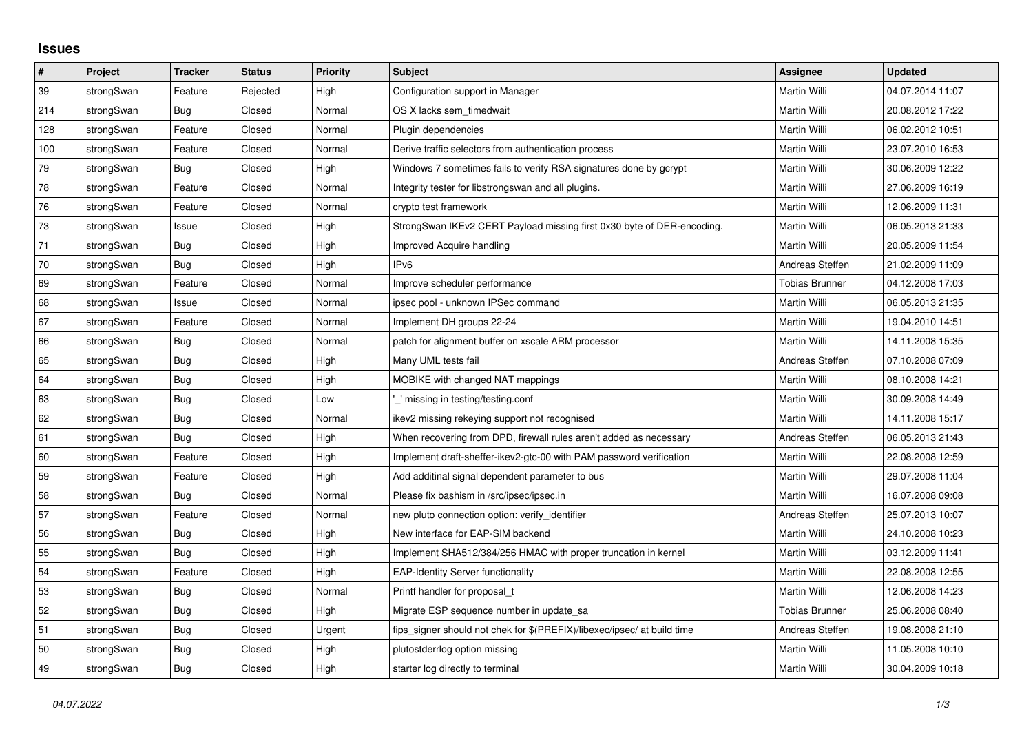## **Issues**

| $\sharp$ | Project    | <b>Tracker</b> | <b>Status</b> | <b>Priority</b> | <b>Subject</b>                                                          | Assignee              | <b>Updated</b>   |
|----------|------------|----------------|---------------|-----------------|-------------------------------------------------------------------------|-----------------------|------------------|
| 39       | strongSwan | Feature        | Rejected      | High            | Configuration support in Manager                                        | Martin Willi          | 04.07.2014 11:07 |
| 214      | strongSwan | Bug            | Closed        | Normal          | OS X lacks sem timedwait                                                | Martin Willi          | 20.08.2012 17:22 |
| 128      | strongSwan | Feature        | Closed        | Normal          | Plugin dependencies                                                     | Martin Willi          | 06.02.2012 10:51 |
| 100      | strongSwan | Feature        | Closed        | Normal          | Derive traffic selectors from authentication process                    | Martin Willi          | 23.07.2010 16:53 |
| 79       | strongSwan | Bug            | Closed        | High            | Windows 7 sometimes fails to verify RSA signatures done by gcrypt       | Martin Willi          | 30.06.2009 12:22 |
| 78       | strongSwan | Feature        | Closed        | Normal          | Integrity tester for libstrongswan and all plugins.                     | Martin Willi          | 27.06.2009 16:19 |
| 76       | strongSwan | Feature        | Closed        | Normal          | crypto test framework                                                   | Martin Willi          | 12.06.2009 11:31 |
| 73       | strongSwan | Issue          | Closed        | High            | StrongSwan IKEv2 CERT Payload missing first 0x30 byte of DER-encoding.  | Martin Willi          | 06.05.2013 21:33 |
| 71       | strongSwan | Bug            | Closed        | High            | Improved Acquire handling                                               | Martin Willi          | 20.05.2009 11:54 |
| 70       | strongSwan | Bug            | Closed        | High            | IP <sub>v6</sub>                                                        | Andreas Steffen       | 21.02.2009 11:09 |
| 69       | strongSwan | Feature        | Closed        | Normal          | Improve scheduler performance                                           | <b>Tobias Brunner</b> | 04.12.2008 17:03 |
| 68       | strongSwan | Issue          | Closed        | Normal          | ipsec pool - unknown IPSec command                                      | <b>Martin Willi</b>   | 06.05.2013 21:35 |
| 67       | strongSwan | Feature        | Closed        | Normal          | Implement DH groups 22-24                                               | Martin Willi          | 19.04.2010 14:51 |
| 66       | strongSwan | Bug            | Closed        | Normal          | patch for alignment buffer on xscale ARM processor                      | Martin Willi          | 14.11.2008 15:35 |
| 65       | strongSwan | <b>Bug</b>     | Closed        | High            | Many UML tests fail                                                     | Andreas Steffen       | 07.10.2008 07:09 |
| 64       | strongSwan | Bug            | Closed        | High            | MOBIKE with changed NAT mappings                                        | Martin Willi          | 08.10.2008 14:21 |
| 63       | strongSwan | Bug            | Closed        | Low             | ' missing in testing/testing.conf                                       | Martin Willi          | 30.09.2008 14:49 |
| 62       | strongSwan | <b>Bug</b>     | Closed        | Normal          | ikev2 missing rekeying support not recognised                           | Martin Willi          | 14.11.2008 15:17 |
| 61       | strongSwan | Bug            | Closed        | High            | When recovering from DPD, firewall rules aren't added as necessary      | Andreas Steffen       | 06.05.2013 21:43 |
| 60       | strongSwan | Feature        | Closed        | High            | Implement draft-sheffer-ikev2-gtc-00 with PAM password verification     | Martin Willi          | 22.08.2008 12:59 |
| 59       | strongSwan | Feature        | Closed        | High            | Add additinal signal dependent parameter to bus                         | Martin Willi          | 29.07.2008 11:04 |
| 58       | strongSwan | Bug            | Closed        | Normal          | Please fix bashism in /src/ipsec/ipsec.in                               | Martin Willi          | 16.07.2008 09:08 |
| 57       | strongSwan | Feature        | Closed        | Normal          | new pluto connection option: verify_identifier                          | Andreas Steffen       | 25.07.2013 10:07 |
| 56       | strongSwan | Bug            | Closed        | High            | New interface for EAP-SIM backend                                       | Martin Willi          | 24.10.2008 10:23 |
| 55       | strongSwan | Bug            | Closed        | High            | Implement SHA512/384/256 HMAC with proper truncation in kernel          | Martin Willi          | 03.12.2009 11:41 |
| 54       | strongSwan | Feature        | Closed        | High            | <b>EAP-Identity Server functionality</b>                                | Martin Willi          | 22.08.2008 12:55 |
| 53       | strongSwan | <b>Bug</b>     | Closed        | Normal          | Printf handler for proposal t                                           | Martin Willi          | 12.06.2008 14:23 |
| 52       | strongSwan | Bug            | Closed        | High            | Migrate ESP sequence number in update_sa                                | <b>Tobias Brunner</b> | 25.06.2008 08:40 |
| 51       | strongSwan | Bug            | Closed        | Urgent          | fips_signer should not chek for \$(PREFIX)/libexec/ipsec/ at build time | Andreas Steffen       | 19.08.2008 21:10 |
| 50       | strongSwan | Bug            | Closed        | High            | plutostderrlog option missing                                           | Martin Willi          | 11.05.2008 10:10 |
| 49       | strongSwan | Bug            | Closed        | High            | starter log directly to terminal                                        | Martin Willi          | 30.04.2009 10:18 |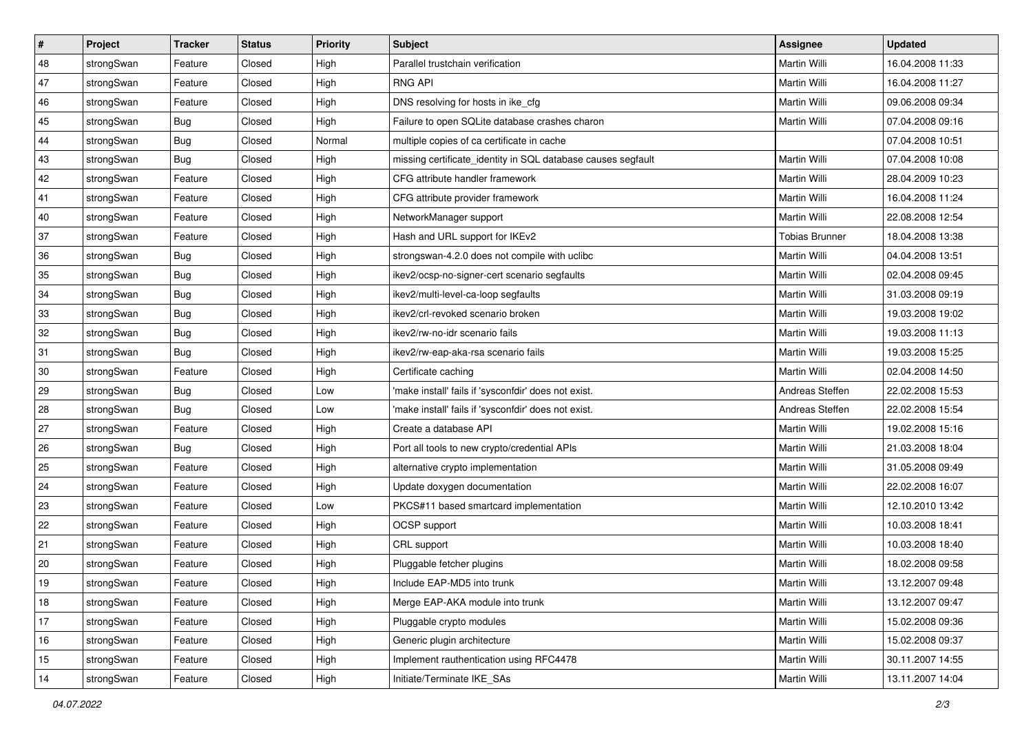| $\vert$ # | Project    | <b>Tracker</b> | <b>Status</b> | <b>Priority</b> | <b>Subject</b>                                               | Assignee              | <b>Updated</b>   |
|-----------|------------|----------------|---------------|-----------------|--------------------------------------------------------------|-----------------------|------------------|
| 48        | strongSwan | Feature        | Closed        | High            | Parallel trustchain verification                             | Martin Willi          | 16.04.2008 11:33 |
| 47        | strongSwan | Feature        | Closed        | High            | <b>RNG API</b>                                               | <b>Martin Willi</b>   | 16.04.2008 11:27 |
| 46        | strongSwan | Feature        | Closed        | High            | DNS resolving for hosts in ike_cfg                           | Martin Willi          | 09.06.2008 09:34 |
| 45        | strongSwan | <b>Bug</b>     | Closed        | High            | Failure to open SQLite database crashes charon               | Martin Willi          | 07.04.2008 09:16 |
| 44        | strongSwan | Bug            | Closed        | Normal          | multiple copies of ca certificate in cache                   |                       | 07.04.2008 10:51 |
| 43        | strongSwan | Bug            | Closed        | High            | missing certificate_identity in SQL database causes segfault | Martin Willi          | 07.04.2008 10:08 |
| 42        | strongSwan | Feature        | Closed        | High            | CFG attribute handler framework                              | Martin Willi          | 28.04.2009 10:23 |
| 41        | strongSwan | Feature        | Closed        | High            | CFG attribute provider framework                             | Martin Willi          | 16.04.2008 11:24 |
| 40        | strongSwan | Feature        | Closed        | High            | NetworkManager support                                       | Martin Willi          | 22.08.2008 12:54 |
| 37        | strongSwan | Feature        | Closed        | High            | Hash and URL support for IKEv2                               | <b>Tobias Brunner</b> | 18.04.2008 13:38 |
| 36        | strongSwan | Bug            | Closed        | High            | strongswan-4.2.0 does not compile with uclibc                | Martin Willi          | 04.04.2008 13:51 |
| 35        | strongSwan | <b>Bug</b>     | Closed        | High            | ikev2/ocsp-no-signer-cert scenario segfaults                 | Martin Willi          | 02.04.2008 09:45 |
| 34        | strongSwan | Bug            | Closed        | High            | ikev2/multi-level-ca-loop segfaults                          | <b>Martin Willi</b>   | 31.03.2008 09:19 |
| 33        | strongSwan | <b>Bug</b>     | Closed        | High            | ikev2/crl-revoked scenario broken                            | Martin Willi          | 19.03.2008 19:02 |
| 32        | strongSwan | Bug            | Closed        | High            | ikev2/rw-no-idr scenario fails                               | <b>Martin Willi</b>   | 19.03.2008 11:13 |
| 31        | strongSwan | <b>Bug</b>     | Closed        | High            | ikev2/rw-eap-aka-rsa scenario fails                          | Martin Willi          | 19.03.2008 15:25 |
| 30        | strongSwan | Feature        | Closed        | High            | Certificate caching                                          | <b>Martin Willi</b>   | 02.04.2008 14:50 |
| 29        | strongSwan | Bug            | Closed        | Low             | 'make install' fails if 'sysconfdir' does not exist.         | Andreas Steffen       | 22.02.2008 15:53 |
| 28        | strongSwan | <b>Bug</b>     | Closed        | Low             | 'make install' fails if 'sysconfdir' does not exist.         | Andreas Steffen       | 22.02.2008 15:54 |
| 27        | strongSwan | Feature        | Closed        | High            | Create a database API                                        | <b>Martin Willi</b>   | 19.02.2008 15:16 |
| 26        | strongSwan | Bug            | Closed        | High            | Port all tools to new crypto/credential APIs                 | Martin Willi          | 21.03.2008 18:04 |
| 25        | strongSwan | Feature        | Closed        | High            | alternative crypto implementation                            | Martin Willi          | 31.05.2008 09:49 |
| 24        | strongSwan | Feature        | Closed        | High            | Update doxygen documentation                                 | Martin Willi          | 22.02.2008 16:07 |
| 23        | strongSwan | Feature        | Closed        | Low             | PKCS#11 based smartcard implementation                       | Martin Willi          | 12.10.2010 13:42 |
| 22        | strongSwan | Feature        | Closed        | High            | OCSP support                                                 | Martin Willi          | 10.03.2008 18:41 |
| 21        | strongSwan | Feature        | Closed        | High            | CRL support                                                  | Martin Willi          | 10.03.2008 18:40 |
| 20        | strongSwan | Feature        | Closed        | High            | Pluggable fetcher plugins                                    | Martin Willi          | 18.02.2008 09:58 |
| $19$      | strongSwan | Feature        | Closed        | High            | Include EAP-MD5 into trunk                                   | Martin Willi          | 13.12.2007 09:48 |
| 18        | strongSwan | Feature        | Closed        | High            | Merge EAP-AKA module into trunk                              | Martin Willi          | 13.12.2007 09:47 |
| 17        | strongSwan | Feature        | Closed        | High            | Pluggable crypto modules                                     | Martin Willi          | 15.02.2008 09:36 |
| 16        | strongSwan | Feature        | Closed        | High            | Generic plugin architecture                                  | Martin Willi          | 15.02.2008 09:37 |
| 15        | strongSwan | Feature        | Closed        | High            | Implement rauthentication using RFC4478                      | Martin Willi          | 30.11.2007 14:55 |
| 14        | strongSwan | Feature        | Closed        | High            | Initiate/Terminate IKE_SAs                                   | Martin Willi          | 13.11.2007 14:04 |